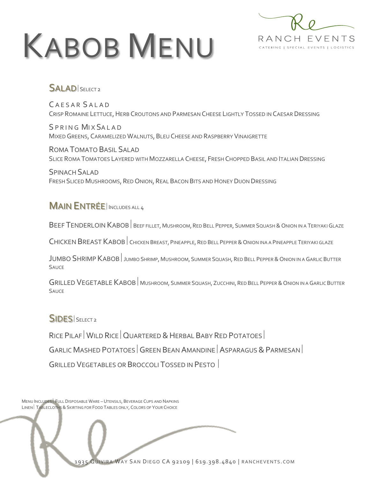# KABOB MENU



### SALADISELECT2

CAESAR SALAD CRISP ROMAINE LETTUCE, HERB CROUTONS AND PARMESAN CHEESE LIGHTLY TOSSED IN CAESAR DRESSING

S P R I N G MIX SALAD MIXED GREENS, CARAMELIZED WALNUTS, BLEU CHEESE AND RASPBERRY VINAIGRETTE

ROMA TOMATO BASIL SALAD SLICE ROMA TOMATOES LAYERED WITH MOZZARELLA CHEESE, FRESH CHOPPED BASIL AND ITALIAN DRESSING

SPINACH SALAD FRESH SLICED MUSHROOMS, RED ONION, REAL BACON BITS AND HONEY DIJON DRESSING

## MAIN ENTRÉEINCLUDES ALL <sup>4</sup>

BEEF TENDERLOIN KABOB BEEF FILLET, MUSHROOM, RED BELL PEPPER, SUMMER SQUASH & ONION IN A TERIYAKI GLAZE

CHICKEN BREAST KABOB | CHICKEN BREAST, PINEAPPLE, RED BELL PEPPER & ONION INA A PINEAPPLE TERIYAKI GLAZE

JUMBO SHRIMP KABOB | JUMBO SHRIMP, MUSHROOM, SUMMER SQUASH, RED BELL PEPPER & ONION IN A GARLIC BUTTER **SAUCE** 

GRILLED VEGETABLE KABOB MUSHROOM, SUMMER SQUASH, ZUCCHINI, RED BELL PEPPER & ONION IN A GARLIC BUTTER **SAUCE** 

#### SIDES SELECT 2

RICE PILAF WILD RICE QUARTERED & HERBAL BABY RED POTATOES

 $GARLLC$  Mashed POTATOES GREEN BEAN AMANDINE ASPARAGUS & PARMESAN

GRILLED VEGETABLES OR BROCCOLI TOSSED IN PESTO

MENU INCLUDES | FULL DISPOSABLE WARE - UTENSILS, BEVERAGE CUPS AND NAPKINS LINEN TABLECLOTHS & SKIRTING FOR FOOD TABLES ONLY, COLORS OF YOUR CHOICE

 $\overline{\phantom{a}}$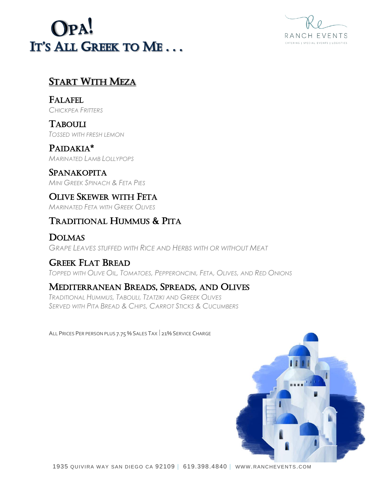# OPA! IT'S ALL GREEK TO ME...



# START WITH MEZA

FALAFEL *CHICKPEA FRITTERS*

TABOULI *TOSSED WITH FRESH LEMON*

PAIDAKIA\* *MARINATED LAMB LOLLYPOPS*

**SPANAKOPITA** *MINI GREEK SPINACH & FETA PIES*

OLIVE SKEWER WITH FETA *MARINATED FETA WITH GREEK OLIVES*

# TRADITIONAL HUMMUS & PITA

DOLMAS *GRAPE LEAVES STUFFED WITH RICE AND HERBS WITH OR WITHOUT MEAT*

# GREEK FLAT BREAD

TOPPED WITH OLIVE OIL, TOMATOES, PEPPERONCINI, FETA, OLIVES, AND RED ONIONS

# MEDITERRANEAN BREADS, SPREADS, AND OLIVES

*TRADITIONAL HUMMUS, TABOULI, TZATZIKI AND GREEK OLIVES SERVED WITH PITA BREAD & CHIPS, CARROT STICKS & CUCUMBERS*

ALL PRICES PER PERSON PLUS 7.75 % SALES TAX 21% SERVICE CHARGE